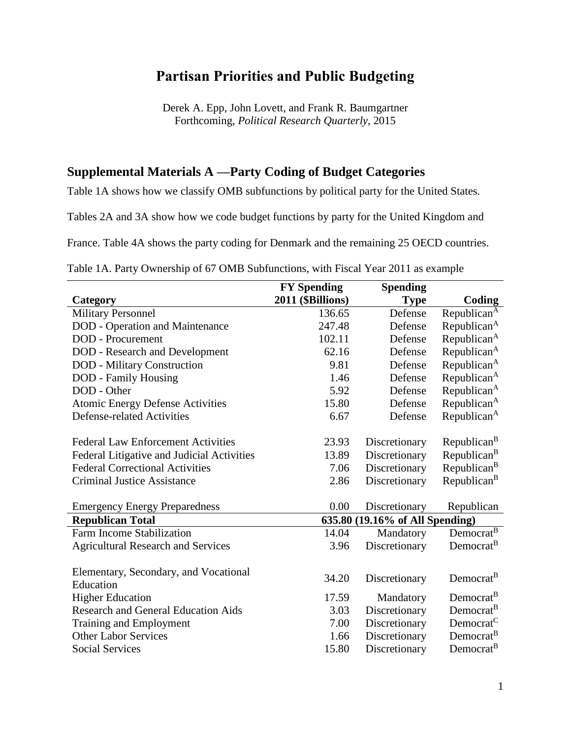# **Partisan Priorities and Public Budgeting**

Derek A. Epp, John Lovett, and Frank R. Baumgartner Forthcoming, *Political Research Quarterly*, 2015

## **Supplemental Materials A —Party Coding of Budget Categories**

Table 1A shows how we classify OMB subfunctions by political party for the United States.

Tables 2A and 3A show how we code budget functions by party for the United Kingdom and

France. Table 4A shows the party coding for Denmark and the remaining 25 OECD countries.

Table 1A. Party Ownership of 67 OMB Subfunctions, with Fiscal Year 2011 as example

|                                            | <b>FY Spending</b> | <b>Spending</b>                 |                         |
|--------------------------------------------|--------------------|---------------------------------|-------------------------|
| Category                                   | 2011 (\$Billions)  | <b>Type</b>                     | Coding                  |
| <b>Military Personnel</b>                  | 136.65             | Defense                         | Republican <sup>A</sup> |
| <b>DOD</b> - Operation and Maintenance     | 247.48             | Defense                         | Republican <sup>A</sup> |
| <b>DOD</b> - Procurement                   | 102.11             | Defense                         | Republican <sup>A</sup> |
| <b>DOD</b> - Research and Development      | 62.16              | Defense                         | Republican <sup>A</sup> |
| <b>DOD</b> - Military Construction         | 9.81               | Defense                         | Republican <sup>A</sup> |
| <b>DOD</b> - Family Housing                | 1.46               | Defense                         | Republican <sup>A</sup> |
| DOD - Other                                | 5.92               | Defense                         | Republican <sup>A</sup> |
| <b>Atomic Energy Defense Activities</b>    | 15.80              | Defense                         | Republican <sup>A</sup> |
| <b>Defense-related Activities</b>          | 6.67               | Defense                         | Republican <sup>A</sup> |
|                                            |                    |                                 |                         |
| <b>Federal Law Enforcement Activities</b>  | 23.93              | Discretionary                   | Republican <sup>B</sup> |
| Federal Litigative and Judicial Activities | 13.89              | Discretionary                   | Republican <sup>B</sup> |
| <b>Federal Correctional Activities</b>     | 7.06               | Discretionary                   | Republican <sup>B</sup> |
| <b>Criminal Justice Assistance</b>         | 2.86               | Discretionary                   | Republican <sup>B</sup> |
|                                            |                    |                                 |                         |
| <b>Emergency Energy Preparedness</b>       | 0.00               | Discretionary                   | Republican              |
| <b>Republican Total</b>                    |                    | 635.80 (19.16% of All Spending) |                         |
| Farm Income Stabilization                  | 14.04              | Mandatory                       | Democrat <sup>B</sup>   |
| <b>Agricultural Research and Services</b>  | 3.96               | Discretionary                   | Democrat <sup>B</sup>   |
|                                            |                    |                                 |                         |
| Elementary, Secondary, and Vocational      | 34.20              | Discretionary                   | Democrat <sup>B</sup>   |
| Education                                  |                    |                                 |                         |
| <b>Higher Education</b>                    | 17.59              | Mandatory                       | Democrat <sup>B</sup>   |
| <b>Research and General Education Aids</b> | 3.03               | Discretionary                   | Democrat <sup>B</sup>   |
| Training and Employment                    | 7.00               | Discretionary                   | Democrat <sup>C</sup>   |
| <b>Other Labor Services</b>                | 1.66               | Discretionary                   | Democrat <sup>B</sup>   |
| <b>Social Services</b>                     | 15.80              | Discretionary                   | Democrat <sup>B</sup>   |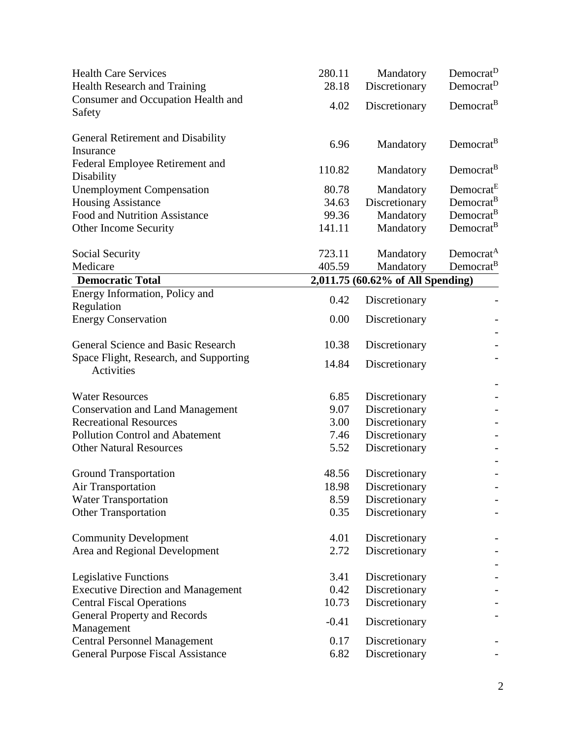| <b>Health Care Services</b><br>Health Research and Training                     | 280.11<br>28.18 | Mandatory<br>Discretionary        | Democrat <sup>D</sup><br>Democrat <sup>D</sup> |
|---------------------------------------------------------------------------------|-----------------|-----------------------------------|------------------------------------------------|
| Consumer and Occupation Health and<br>Safety                                    | 4.02            | Discretionary                     | Democrat <sup>B</sup>                          |
| General Retirement and Disability<br>Insurance                                  | 6.96            | Mandatory                         | Democrat <sup>B</sup>                          |
| Federal Employee Retirement and<br>Disability                                   | 110.82          | Mandatory                         | Democrat <sup>B</sup>                          |
| <b>Unemployment Compensation</b>                                                | 80.78           | Mandatory                         | Democrat <sup>E</sup>                          |
| <b>Housing Assistance</b>                                                       | 34.63           | Discretionary                     | Democrat <sup>B</sup>                          |
| <b>Food and Nutrition Assistance</b>                                            | 99.36           | Mandatory                         | Democrat <sup>B</sup>                          |
| Other Income Security                                                           | 141.11          | Mandatory                         | Democrat <sup>B</sup>                          |
| Social Security                                                                 | 723.11          | Mandatory                         | Democrat <sup>A</sup>                          |
| Medicare                                                                        | 405.59          | Mandatory                         | Democrat <sup>B</sup>                          |
| <b>Democratic Total</b>                                                         |                 | 2,011.75 (60.62% of All Spending) |                                                |
| Energy Information, Policy and<br>Regulation                                    | 0.42            | Discretionary                     |                                                |
| <b>Energy Conservation</b>                                                      | 0.00            | Discretionary                     |                                                |
| General Science and Basic Research                                              | 10.38           | Discretionary                     |                                                |
| Space Flight, Research, and Supporting<br><b>Activities</b>                     | 14.84           | Discretionary                     |                                                |
| <b>Water Resources</b>                                                          | 6.85            | Discretionary                     |                                                |
| <b>Conservation and Land Management</b>                                         | 9.07            | Discretionary                     |                                                |
| <b>Recreational Resources</b>                                                   | 3.00            | Discretionary                     |                                                |
| <b>Pollution Control and Abatement</b>                                          | 7.46            | Discretionary                     |                                                |
| <b>Other Natural Resources</b>                                                  | 5.52            | Discretionary                     |                                                |
| <b>Ground Transportation</b>                                                    | 48.56           | Discretionary                     |                                                |
| <b>Air Transportation</b>                                                       | 18.98           | Discretionary                     |                                                |
| <b>Water Transportation</b>                                                     | 8.59            | Discretionary                     |                                                |
| <b>Other Transportation</b>                                                     | 0.35            | Discretionary                     |                                                |
| <b>Community Development</b>                                                    | 4.01            | Discretionary                     |                                                |
| Area and Regional Development                                                   | 2.72            | Discretionary                     |                                                |
| <b>Legislative Functions</b>                                                    | 3.41            | Discretionary                     |                                                |
| <b>Executive Direction and Management</b>                                       | 0.42            | Discretionary                     |                                                |
| <b>Central Fiscal Operations</b>                                                | 10.73           | Discretionary                     |                                                |
| <b>General Property and Records</b>                                             | $-0.41$         | Discretionary                     |                                                |
| Management                                                                      | 0.17            |                                   |                                                |
| <b>Central Personnel Management</b><br><b>General Purpose Fiscal Assistance</b> | 6.82            | Discretionary<br>Discretionary    |                                                |
|                                                                                 |                 |                                   |                                                |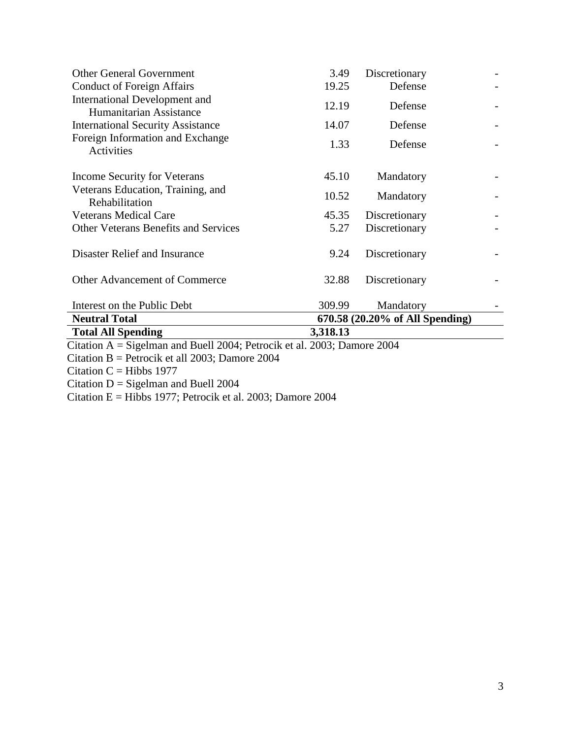| <b>Total All Spending</b>                                | 3,318.13 |                                 |  |
|----------------------------------------------------------|----------|---------------------------------|--|
| <b>Neutral Total</b>                                     |          | 670.58 (20.20% of All Spending) |  |
| Interest on the Public Debt                              | 309.99   | Mandatory                       |  |
| <b>Other Advancement of Commerce</b>                     | 32.88    | Discretionary                   |  |
| Disaster Relief and Insurance                            | 9.24     | Discretionary                   |  |
| <b>Other Veterans Benefits and Services</b>              | 5.27     | Discretionary                   |  |
| <b>Veterans Medical Care</b>                             | 45.35    | Discretionary                   |  |
| Veterans Education, Training, and<br>Rehabilitation      | 10.52    | Mandatory                       |  |
| Income Security for Veterans                             | 45.10    | Mandatory                       |  |
| Foreign Information and Exchange<br>Activities           | 1.33     | Defense                         |  |
| <b>International Security Assistance</b>                 | 14.07    | Defense                         |  |
| International Development and<br>Humanitarian Assistance | 12.19    | Defense                         |  |
| <b>Conduct of Foreign Affairs</b>                        | 19.25    | Defense                         |  |
| <b>Other General Government</b>                          | 3.49     | Discretionary                   |  |

Citation A = Sigelman and Buell 2004; Petrocik et al. 2003; Damore 2004

Citation B = Petrocik et all 2003; Damore 2004

Citation  $C = Hibbs$  1977

Citation  $D =$  Sigelman and Buell 2004

Citation E = Hibbs 1977; Petrocik et al. 2003; Damore 2004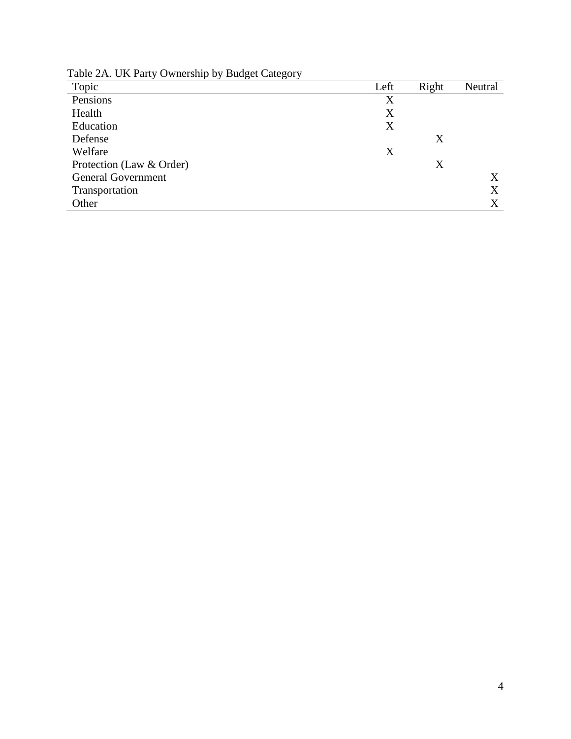Table 2A. UK Party Ownership by Budget Category

| Topic                     | Left | Right | Neutral |
|---------------------------|------|-------|---------|
| Pensions                  | X    |       |         |
| Health                    | X    |       |         |
| Education                 | X    |       |         |
| Defense                   |      | X     |         |
| Welfare                   | X    |       |         |
| Protection (Law & Order)  |      | X     |         |
| <b>General Government</b> |      |       | X       |
| Transportation            |      |       | X       |
| Other                     |      |       | X       |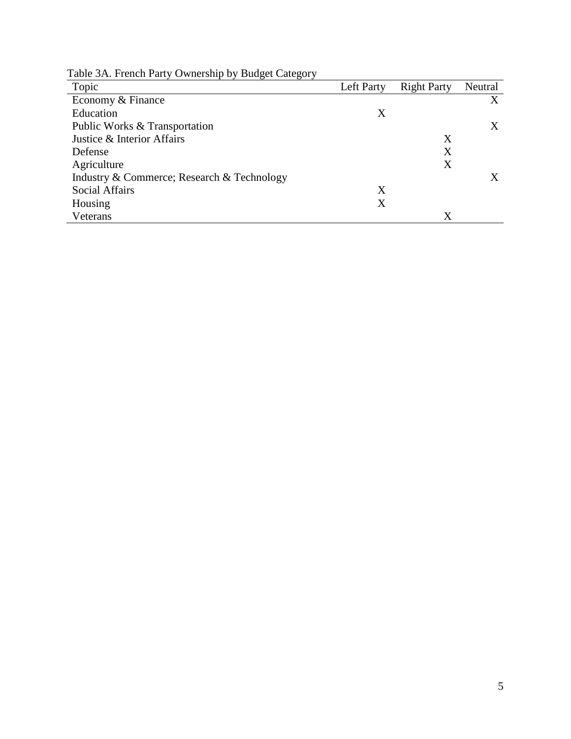Table 3A. French Party Ownership by Budget Category

| Topic                                      | Left Party | <b>Right Party</b> | Neutral |
|--------------------------------------------|------------|--------------------|---------|
| Economy & Finance                          |            |                    | X       |
| Education                                  | X          |                    |         |
| Public Works & Transportation              |            |                    | X       |
| Justice & Interior Affairs                 |            | Χ                  |         |
| Defense                                    |            | Χ                  |         |
| Agriculture                                |            | Χ                  |         |
| Industry & Commerce; Research & Technology |            |                    |         |
| <b>Social Affairs</b>                      | X          |                    |         |
| Housing                                    | X          |                    |         |
| Veterans                                   |            | X                  |         |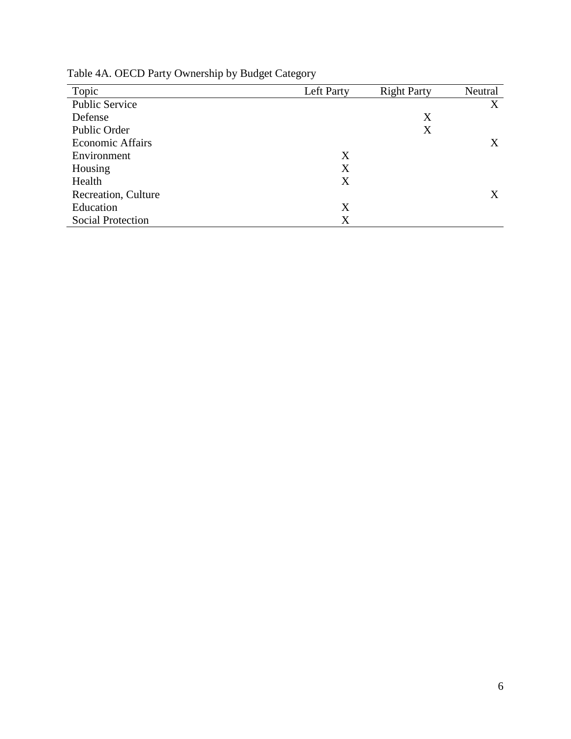| Topic                    | Left Party | <b>Right Party</b> | Neutral |
|--------------------------|------------|--------------------|---------|
| <b>Public Service</b>    |            |                    | X       |
| Defense                  |            | X                  |         |
| Public Order             |            | X                  |         |
| <b>Economic Affairs</b>  |            |                    | X       |
| Environment              | X          |                    |         |
| Housing                  | X          |                    |         |
| Health                   | X          |                    |         |
| Recreation, Culture      |            |                    | Χ       |
| Education                | Χ          |                    |         |
| <b>Social Protection</b> | X          |                    |         |

Table 4A. OECD Party Ownership by Budget Category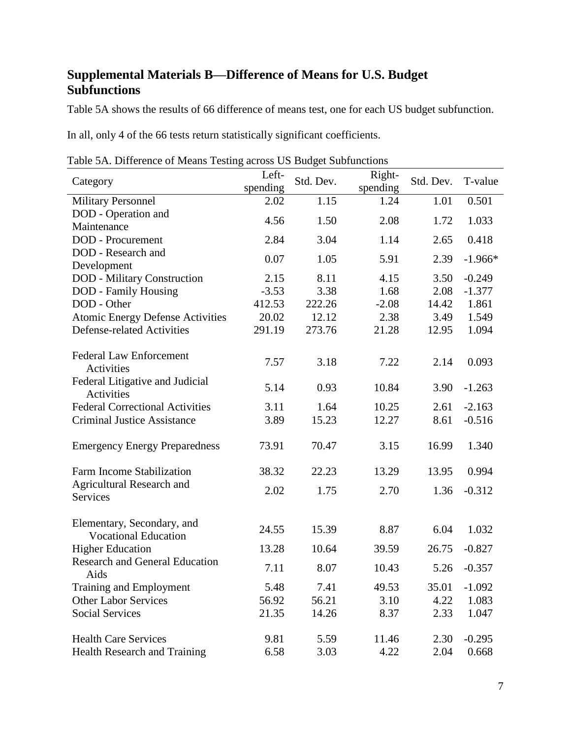# **Supplemental Materials B—Difference of Means for U.S. Budget Subfunctions**

Table 5A shows the results of 66 difference of means test, one for each US budget subfunction.

In all, only 4 of the 66 tests return statistically significant coefficients.

| Category                                      | Left-<br>spending | Std. Dev. | Right-<br>spending | Std. Dev. | T-value   |
|-----------------------------------------------|-------------------|-----------|--------------------|-----------|-----------|
| <b>Military Personnel</b>                     | 2.02              | 1.15      | 1.24               | 1.01      | 0.501     |
| DOD - Operation and                           | 4.56              | 1.50      | 2.08               | 1.72      | 1.033     |
| Maintenance<br><b>DOD</b> - Procurement       | 2.84              | 3.04      | 1.14               | 2.65      | 0.418     |
| DOD - Research and                            |                   |           |                    |           |           |
| Development                                   | 0.07              | 1.05      | 5.91               | 2.39      | $-1.966*$ |
| <b>DOD</b> - Military Construction            | 2.15              | 8.11      | 4.15               | 3.50      | $-0.249$  |
| DOD - Family Housing                          | $-3.53$           | 3.38      | 1.68               | 2.08      | $-1.377$  |
| DOD - Other                                   | 412.53            | 222.26    | $-2.08$            | 14.42     | 1.861     |
| <b>Atomic Energy Defense Activities</b>       | 20.02             | 12.12     | 2.38               | 3.49      | 1.549     |
| <b>Defense-related Activities</b>             | 291.19            | 273.76    | 21.28              | 12.95     | 1.094     |
| <b>Federal Law Enforcement</b>                |                   |           |                    |           |           |
| Activities                                    | 7.57              | 3.18      | 7.22               | 2.14      | 0.093     |
| Federal Litigative and Judicial               | 5.14              | 0.93      | 10.84              | 3.90      | $-1.263$  |
| Activities                                    |                   |           |                    |           |           |
| <b>Federal Correctional Activities</b>        | 3.11              | 1.64      | 10.25              | 2.61      | $-2.163$  |
| <b>Criminal Justice Assistance</b>            | 3.89              | 15.23     | 12.27              | 8.61      | $-0.516$  |
| <b>Emergency Energy Preparedness</b>          | 73.91             | 70.47     | 3.15               | 16.99     | 1.340     |
| Farm Income Stabilization                     | 38.32             | 22.23     | 13.29              | 13.95     | 0.994     |
| <b>Agricultural Research and</b>              | 2.02              | 1.75      | 2.70               | 1.36      | $-0.312$  |
| <b>Services</b>                               |                   |           |                    |           |           |
| Elementary, Secondary, and                    | 24.55             | 15.39     | 8.87               | 6.04      | 1.032     |
| <b>Vocational Education</b>                   |                   |           |                    |           |           |
| <b>Higher Education</b>                       | 13.28             | 10.64     | 39.59              | 26.75     | $-0.827$  |
| <b>Research and General Education</b><br>Aids | 7.11              | 8.07      | 10.43              | 5.26      | $-0.357$  |
| Training and Employment                       | 5.48              | 7.41      | 49.53              | 35.01     | $-1.092$  |
| <b>Other Labor Services</b>                   | 56.92             | 56.21     | 3.10               | 4.22      | 1.083     |
| <b>Social Services</b>                        | 21.35             | 14.26     | 8.37               | 2.33      | 1.047     |
| <b>Health Care Services</b>                   | 9.81              | 5.59      | 11.46              | 2.30      | $-0.295$  |
| <b>Health Research and Training</b>           | 6.58              | 3.03      | 4.22               | 2.04      | 0.668     |

Table 5A. Difference of Means Testing across US Budget Subfunctions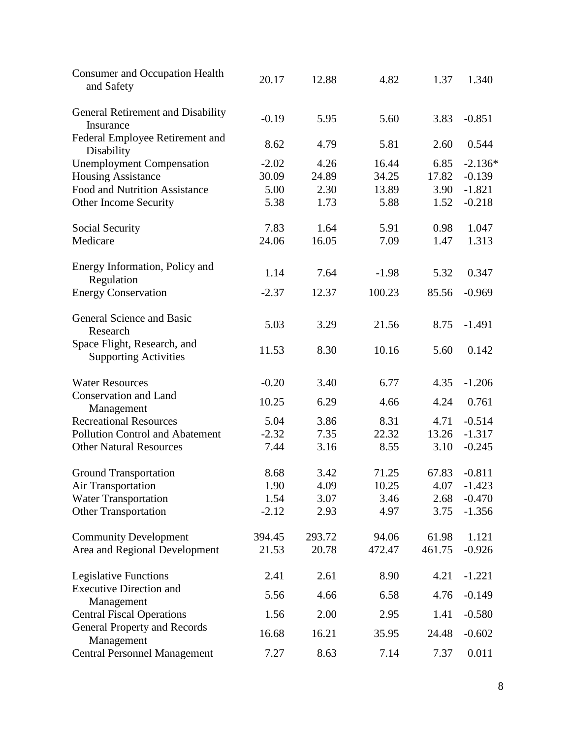| <b>Consumer and Occupation Health</b><br>and Safety         | 20.17   | 12.88  | 4.82    | 1.37   | 1.340     |
|-------------------------------------------------------------|---------|--------|---------|--------|-----------|
| General Retirement and Disability<br>Insurance              | $-0.19$ | 5.95   | 5.60    | 3.83   | $-0.851$  |
| Federal Employee Retirement and<br>Disability               | 8.62    | 4.79   | 5.81    | 2.60   | 0.544     |
| <b>Unemployment Compensation</b>                            | $-2.02$ | 4.26   | 16.44   | 6.85   | $-2.136*$ |
| <b>Housing Assistance</b>                                   | 30.09   | 24.89  | 34.25   | 17.82  | $-0.139$  |
| <b>Food and Nutrition Assistance</b>                        | 5.00    | 2.30   | 13.89   | 3.90   | $-1.821$  |
| Other Income Security                                       | 5.38    | 1.73   | 5.88    | 1.52   | $-0.218$  |
| Social Security                                             | 7.83    | 1.64   | 5.91    | 0.98   | 1.047     |
| Medicare                                                    | 24.06   | 16.05  | 7.09    | 1.47   | 1.313     |
| Energy Information, Policy and                              | 1.14    | 7.64   | $-1.98$ | 5.32   | 0.347     |
| Regulation<br><b>Energy Conservation</b>                    | $-2.37$ | 12.37  | 100.23  | 85.56  | $-0.969$  |
|                                                             |         |        |         |        |           |
| General Science and Basic<br>Research                       | 5.03    | 3.29   | 21.56   | 8.75   | $-1.491$  |
| Space Flight, Research, and<br><b>Supporting Activities</b> | 11.53   | 8.30   | 10.16   | 5.60   | 0.142     |
| <b>Water Resources</b>                                      | $-0.20$ | 3.40   | 6.77    | 4.35   | $-1.206$  |
| Conservation and Land<br>Management                         | 10.25   | 6.29   | 4.66    | 4.24   | 0.761     |
| <b>Recreational Resources</b>                               | 5.04    | 3.86   | 8.31    | 4.71   | $-0.514$  |
| <b>Pollution Control and Abatement</b>                      | $-2.32$ | 7.35   | 22.32   | 13.26  | $-1.317$  |
| <b>Other Natural Resources</b>                              | 7.44    | 3.16   | 8.55    | 3.10   | $-0.245$  |
| <b>Ground Transportation</b>                                | 8.68    | 3.42   | 71.25   | 67.83  | $-0.811$  |
| Air Transportation                                          | 1.90    | 4.09   | 10.25   | 4.07   | $-1.423$  |
| <b>Water Transportation</b>                                 | 1.54    | 3.07   | 3.46    | 2.68   | $-0.470$  |
| <b>Other Transportation</b>                                 | $-2.12$ | 2.93   | 4.97    | 3.75   | $-1.356$  |
| <b>Community Development</b>                                | 394.45  | 293.72 | 94.06   | 61.98  | 1.121     |
| Area and Regional Development                               | 21.53   | 20.78  | 472.47  | 461.75 | $-0.926$  |
| <b>Legislative Functions</b>                                | 2.41    | 2.61   | 8.90    | 4.21   | $-1.221$  |
| <b>Executive Direction and</b><br>Management                | 5.56    | 4.66   | 6.58    | 4.76   | $-0.149$  |
| <b>Central Fiscal Operations</b>                            | 1.56    | 2.00   | 2.95    | 1.41   | $-0.580$  |
| <b>General Property and Records</b><br>Management           | 16.68   | 16.21  | 35.95   | 24.48  | $-0.602$  |
| <b>Central Personnel Management</b>                         | 7.27    | 8.63   | 7.14    | 7.37   | 0.011     |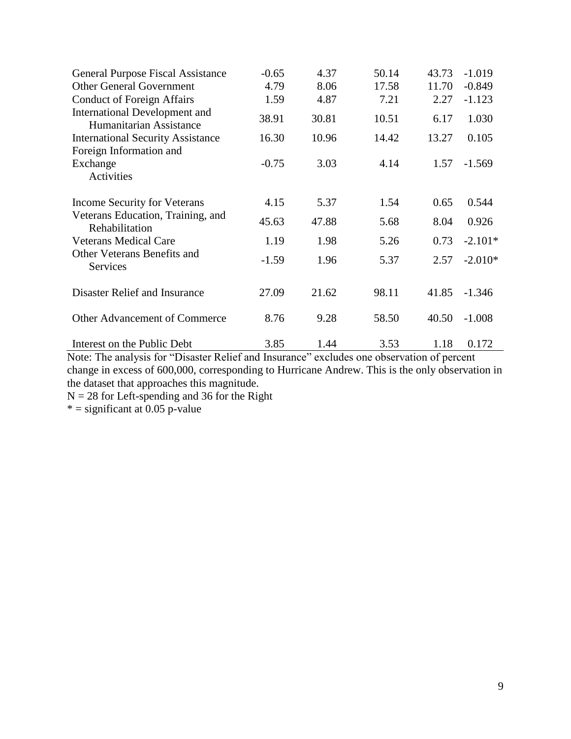| General Purpose Fiscal Assistance                               | $-0.65$ | 4.37  | 50.14 | 43.73 | $-1.019$  |
|-----------------------------------------------------------------|---------|-------|-------|-------|-----------|
| <b>Other General Government</b>                                 | 4.79    | 8.06  | 17.58 | 11.70 | $-0.849$  |
| <b>Conduct of Foreign Affairs</b>                               | 1.59    | 4.87  | 7.21  | 2.27  | $-1.123$  |
| <b>International Development and</b><br>Humanitarian Assistance | 38.91   | 30.81 | 10.51 | 6.17  | 1.030     |
| <b>International Security Assistance</b>                        | 16.30   | 10.96 | 14.42 | 13.27 | 0.105     |
| Foreign Information and                                         |         |       |       |       |           |
| Exchange                                                        | $-0.75$ | 3.03  | 4.14  | 1.57  | $-1.569$  |
| Activities                                                      |         |       |       |       |           |
| <b>Income Security for Veterans</b>                             | 4.15    | 5.37  | 1.54  | 0.65  | 0.544     |
| Veterans Education, Training, and                               | 45.63   | 47.88 | 5.68  | 8.04  | 0.926     |
| Rehabilitation                                                  |         |       |       |       |           |
| <b>Veterans Medical Care</b>                                    | 1.19    | 1.98  | 5.26  | 0.73  | $-2.101*$ |
| Other Veterans Benefits and<br>Services                         | $-1.59$ | 1.96  | 5.37  | 2.57  | $-2.010*$ |
| Disaster Relief and Insurance                                   | 27.09   | 21.62 | 98.11 | 41.85 | $-1.346$  |
|                                                                 |         |       |       |       |           |
| <b>Other Advancement of Commerce</b>                            | 8.76    | 9.28  | 58.50 | 40.50 | $-1.008$  |
| Interest on the Public Debt                                     | 3.85    | 1.44  | 3.53  | 1.18  | 0.172     |

Note: The analysis for "Disaster Relief and Insurance" excludes one observation of percent change in excess of 600,000, corresponding to Hurricane Andrew. This is the only observation in the dataset that approaches this magnitude.

 $N = 28$  for Left-spending and 36 for the Right

 $* =$  significant at 0.05 p-value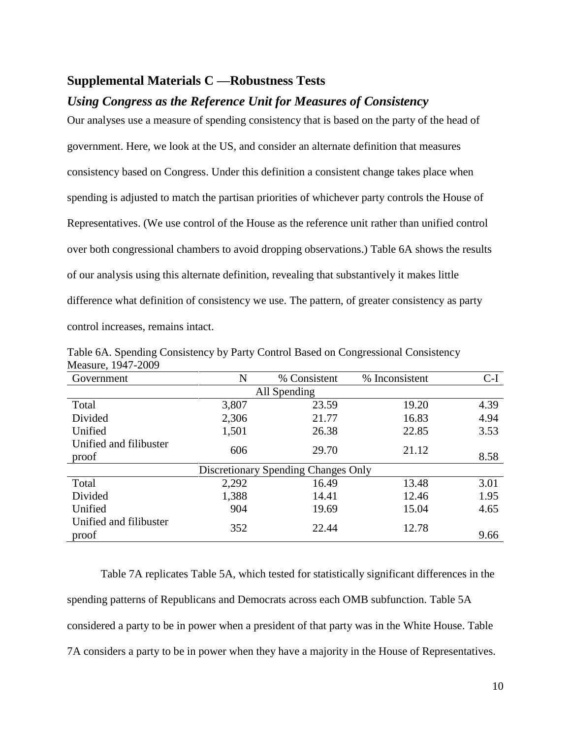#### **Supplemental Materials C —Robustness Tests**

### *Using Congress as the Reference Unit for Measures of Consistency*

Our analyses use a measure of spending consistency that is based on the party of the head of government. Here, we look at the US, and consider an alternate definition that measures consistency based on Congress. Under this definition a consistent change takes place when spending is adjusted to match the partisan priorities of whichever party controls the House of Representatives. (We use control of the House as the reference unit rather than unified control over both congressional chambers to avoid dropping observations.) Table 6A shows the results of our analysis using this alternate definition, revealing that substantively it makes little difference what definition of consistency we use. The pattern, of greater consistency as party control increases, remains intact.

| Government             | N            | % Consistent                        | % Inconsistent | $C-I$ |  |  |  |  |
|------------------------|--------------|-------------------------------------|----------------|-------|--|--|--|--|
|                        | All Spending |                                     |                |       |  |  |  |  |
| Total                  | 3,807        | 23.59                               | 19.20          | 4.39  |  |  |  |  |
| Divided                | 2,306        | 21.77                               | 16.83          | 4.94  |  |  |  |  |
| Unified                | 1,501        | 26.38                               | 22.85          | 3.53  |  |  |  |  |
| Unified and filibuster | 606          | 29.70                               | 21.12          |       |  |  |  |  |
| proof                  |              |                                     |                | 8.58  |  |  |  |  |
|                        |              | Discretionary Spending Changes Only |                |       |  |  |  |  |
| Total                  | 2,292        | 16.49                               | 13.48          | 3.01  |  |  |  |  |
| Divided                | 1,388        | 14.41                               | 12.46          | 1.95  |  |  |  |  |
| Unified                | 904          | 19.69                               | 15.04          | 4.65  |  |  |  |  |
| Unified and filibuster | 352          | 22.44                               | 12.78          |       |  |  |  |  |
| proof                  |              |                                     |                | 9.66  |  |  |  |  |

Table 6A. Spending Consistency by Party Control Based on Congressional Consistency Measure, 1947-2009

Table 7A replicates Table 5A, which tested for statistically significant differences in the spending patterns of Republicans and Democrats across each OMB subfunction. Table 5A considered a party to be in power when a president of that party was in the White House. Table 7A considers a party to be in power when they have a majority in the House of Representatives.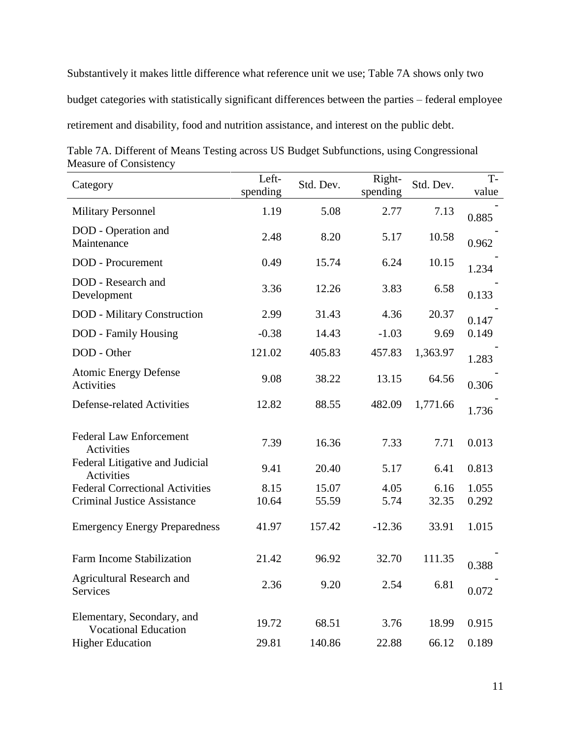Substantively it makes little difference what reference unit we use; Table 7A shows only two budget categories with statistically significant differences between the parties – federal employee retirement and disability, food and nutrition assistance, and interest on the public debt.

| Table 7A. Different of Means Testing across US Budget Subfunctions, using Congressional |  |  |  |
|-----------------------------------------------------------------------------------------|--|--|--|
| Measure of Consistency                                                                  |  |  |  |

| Category                                                                     | Left-<br>spending | Std. Dev.      | Right-<br>spending | Std. Dev.     | $T -$<br>value |
|------------------------------------------------------------------------------|-------------------|----------------|--------------------|---------------|----------------|
| <b>Military Personnel</b>                                                    | 1.19              | 5.08           | 2.77               | 7.13          | 0.885          |
| DOD - Operation and<br>Maintenance                                           | 2.48              | 8.20           | 5.17               | 10.58         | 0.962          |
| DOD - Procurement                                                            | 0.49              | 15.74          | 6.24               | 10.15         | 1.234          |
| DOD - Research and<br>Development                                            | 3.36              | 12.26          | 3.83               | 6.58          | 0.133          |
| <b>DOD</b> - Military Construction                                           | 2.99              | 31.43          | 4.36               | 20.37         | 0.147          |
| DOD - Family Housing                                                         | $-0.38$           | 14.43          | $-1.03$            | 9.69          | 0.149          |
| DOD - Other                                                                  | 121.02            | 405.83         | 457.83             | 1,363.97      | 1.283          |
| <b>Atomic Energy Defense</b><br>Activities                                   | 9.08              | 38.22          | 13.15              | 64.56         | 0.306          |
| <b>Defense-related Activities</b>                                            | 12.82             | 88.55          | 482.09             | 1,771.66      | 1.736          |
| <b>Federal Law Enforcement</b><br>Activities                                 | 7.39              | 16.36          | 7.33               | 7.71          | 0.013          |
| Federal Litigative and Judicial<br>Activities                                | 9.41              | 20.40          | 5.17               | 6.41          | 0.813          |
| <b>Federal Correctional Activities</b><br><b>Criminal Justice Assistance</b> | 8.15<br>10.64     | 15.07<br>55.59 | 4.05<br>5.74       | 6.16<br>32.35 | 1.055<br>0.292 |
| <b>Emergency Energy Preparedness</b>                                         | 41.97             | 157.42         | $-12.36$           | 33.91         | 1.015          |
| Farm Income Stabilization                                                    | 21.42             | 96.92          | 32.70              | 111.35        | 0.388          |
| <b>Agricultural Research and</b><br><b>Services</b>                          | 2.36              | 9.20           | 2.54               | 6.81          | 0.072          |
| Elementary, Secondary, and<br><b>Vocational Education</b>                    | 19.72             | 68.51          | 3.76               | 18.99         | 0.915          |
| <b>Higher Education</b>                                                      | 29.81             | 140.86         | 22.88              | 66.12         | 0.189          |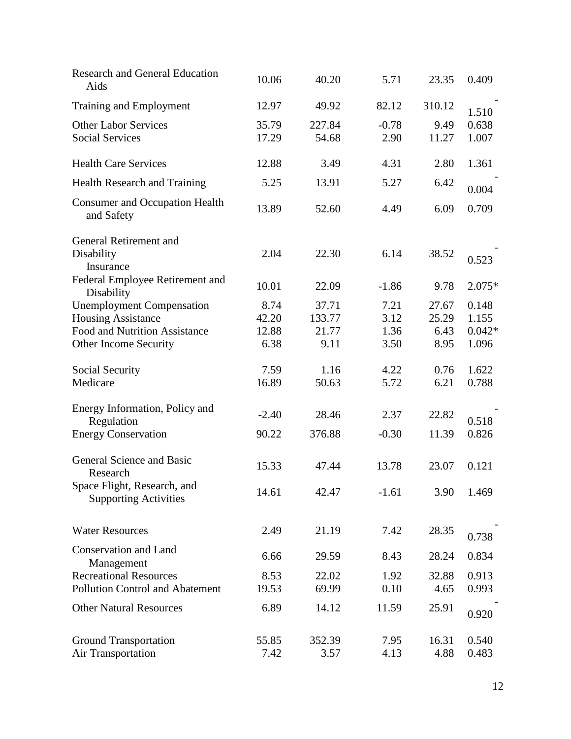| <b>Research and General Education</b><br>Aids                                                                                  | 10.06                          | 40.20                            | 5.71                         | 23.35                          | 0.409                               |
|--------------------------------------------------------------------------------------------------------------------------------|--------------------------------|----------------------------------|------------------------------|--------------------------------|-------------------------------------|
| Training and Employment                                                                                                        | 12.97                          | 49.92                            | 82.12                        | 310.12                         | 1.510                               |
| <b>Other Labor Services</b><br><b>Social Services</b>                                                                          | 35.79<br>17.29                 | 227.84<br>54.68                  | $-0.78$<br>2.90              | 9.49<br>11.27                  | 0.638<br>1.007                      |
| <b>Health Care Services</b>                                                                                                    | 12.88                          | 3.49                             | 4.31                         | 2.80                           | 1.361                               |
| Health Research and Training                                                                                                   | 5.25                           | 13.91                            | 5.27                         | 6.42                           | 0.004                               |
| <b>Consumer and Occupation Health</b><br>and Safety                                                                            | 13.89                          | 52.60                            | 4.49                         | 6.09                           | 0.709                               |
| General Retirement and<br>Disability<br>Insurance                                                                              | 2.04                           | 22.30                            | 6.14                         | 38.52                          | 0.523                               |
| Federal Employee Retirement and<br>Disability                                                                                  | 10.01                          | 22.09                            | $-1.86$                      | 9.78                           | $2.075*$                            |
| <b>Unemployment Compensation</b><br><b>Housing Assistance</b><br><b>Food and Nutrition Assistance</b><br>Other Income Security | 8.74<br>42.20<br>12.88<br>6.38 | 37.71<br>133.77<br>21.77<br>9.11 | 7.21<br>3.12<br>1.36<br>3.50 | 27.67<br>25.29<br>6.43<br>8.95 | 0.148<br>1.155<br>$0.042*$<br>1.096 |
| Social Security<br>Medicare                                                                                                    | 7.59<br>16.89                  | 1.16<br>50.63                    | 4.22<br>5.72                 | 0.76<br>6.21                   | 1.622<br>0.788                      |
| Energy Information, Policy and<br>Regulation<br><b>Energy Conservation</b>                                                     | $-2.40$<br>90.22               | 28.46<br>376.88                  | 2.37<br>$-0.30$              | 22.82<br>11.39                 | 0.518<br>0.826                      |
| General Science and Basic<br>Research                                                                                          | 15.33                          | 47.44                            | 13.78                        | 23.07                          | 0.121                               |
| Space Flight, Research, and<br><b>Supporting Activities</b>                                                                    | 14.61                          | 42.47                            | $-1.61$                      | 3.90                           | 1.469                               |
| <b>Water Resources</b>                                                                                                         | 2.49                           | 21.19                            | 7.42                         | 28.35                          | 0.738                               |
| Conservation and Land<br>Management                                                                                            | 6.66                           | 29.59                            | 8.43                         | 28.24                          | 0.834                               |
| <b>Recreational Resources</b><br><b>Pollution Control and Abatement</b>                                                        | 8.53<br>19.53                  | 22.02<br>69.99                   | 1.92<br>0.10                 | 32.88<br>4.65                  | 0.913<br>0.993                      |
| <b>Other Natural Resources</b>                                                                                                 | 6.89                           | 14.12                            | 11.59                        | 25.91                          | 0.920                               |
| <b>Ground Transportation</b><br><b>Air Transportation</b>                                                                      | 55.85<br>7.42                  | 352.39<br>3.57                   | 7.95<br>4.13                 | 16.31<br>4.88                  | 0.540<br>0.483                      |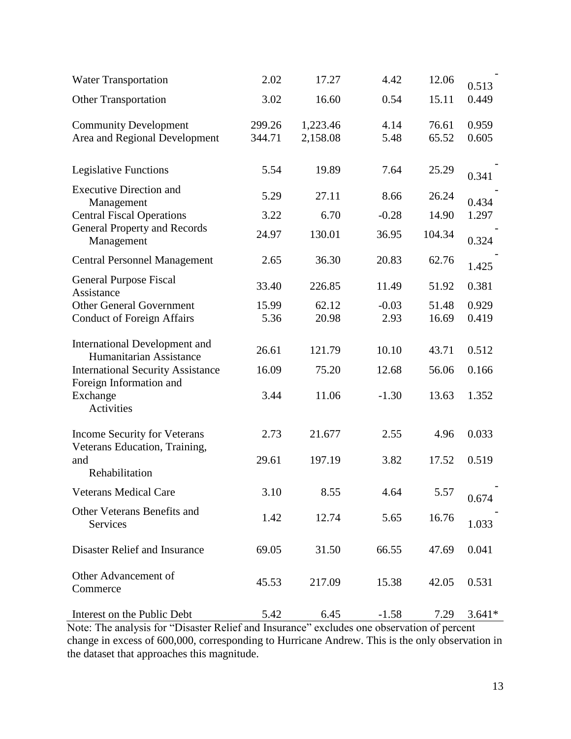| <b>Water Transportation</b>                                          | 2.02             | 17.27                | 4.42            | 12.06          | 0.513          |
|----------------------------------------------------------------------|------------------|----------------------|-----------------|----------------|----------------|
| <b>Other Transportation</b>                                          | 3.02             | 16.60                | 0.54            | 15.11          | 0.449          |
| <b>Community Development</b><br>Area and Regional Development        | 299.26<br>344.71 | 1,223.46<br>2,158.08 | 4.14<br>5.48    | 76.61<br>65.52 | 0.959<br>0.605 |
| <b>Legislative Functions</b>                                         | 5.54             | 19.89                | 7.64            | 25.29          | 0.341          |
| <b>Executive Direction and</b>                                       | 5.29             | 27.11                | 8.66            | 26.24          | 0.434          |
| Management<br><b>Central Fiscal Operations</b>                       | 3.22             | 6.70                 | $-0.28$         | 14.90          | 1.297          |
| <b>General Property and Records</b><br>Management                    | 24.97            | 130.01               | 36.95           | 104.34         | 0.324          |
| <b>Central Personnel Management</b>                                  | 2.65             | 36.30                | 20.83           | 62.76          | 1.425          |
| General Purpose Fiscal<br>Assistance                                 | 33.40            | 226.85               | 11.49           | 51.92          | 0.381          |
| <b>Other General Government</b><br><b>Conduct of Foreign Affairs</b> | 15.99<br>5.36    | 62.12<br>20.98       | $-0.03$<br>2.93 | 51.48<br>16.69 | 0.929<br>0.419 |
| <b>International Development and</b><br>Humanitarian Assistance      | 26.61            | 121.79               | 10.10           | 43.71          | 0.512          |
| <b>International Security Assistance</b>                             | 16.09            | 75.20                | 12.68           | 56.06          | 0.166          |
| Foreign Information and<br>Exchange<br>Activities                    | 3.44             | 11.06                | $-1.30$         | 13.63          | 1.352          |
| <b>Income Security for Veterans</b>                                  | 2.73             | 21.677               | 2.55            | 4.96           | 0.033          |
| Veterans Education, Training,<br>and<br>Rehabilitation               | 29.61            | 197.19               | 3.82            | 17.52          | 0.519          |
| <b>Veterans Medical Care</b>                                         | 3.10             | 8.55                 | 4.64            | 5.57           | 0.674          |
| Other Veterans Benefits and<br>Services                              | 1.42             | 12.74                | 5.65            | 16.76          | 1.033          |
| Disaster Relief and Insurance                                        | 69.05            | 31.50                | 66.55           | 47.69          | 0.041          |
| Other Advancement of<br>Commerce                                     | 45.53            | 217.09               | 15.38           | 42.05          | 0.531          |
| Interest on the Public Debt                                          | 5.42             | 6.45                 | $-1.58$         | 7.29           | $3.641*$       |

Note: The analysis for "Disaster Relief and Insurance" excludes one observation of percent change in excess of 600,000, corresponding to Hurricane Andrew. This is the only observation in the dataset that approaches this magnitude.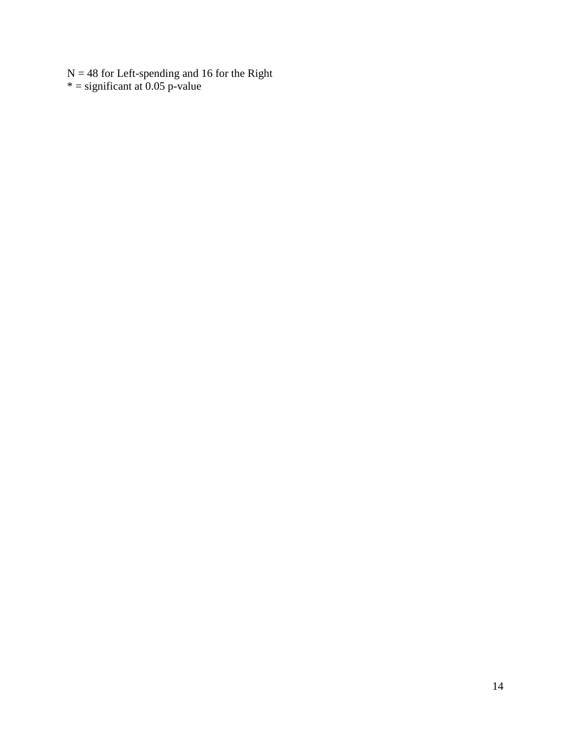$N = 48$  for Left-spending and 16 for the Right  $* =$  significant at 0.05 p-value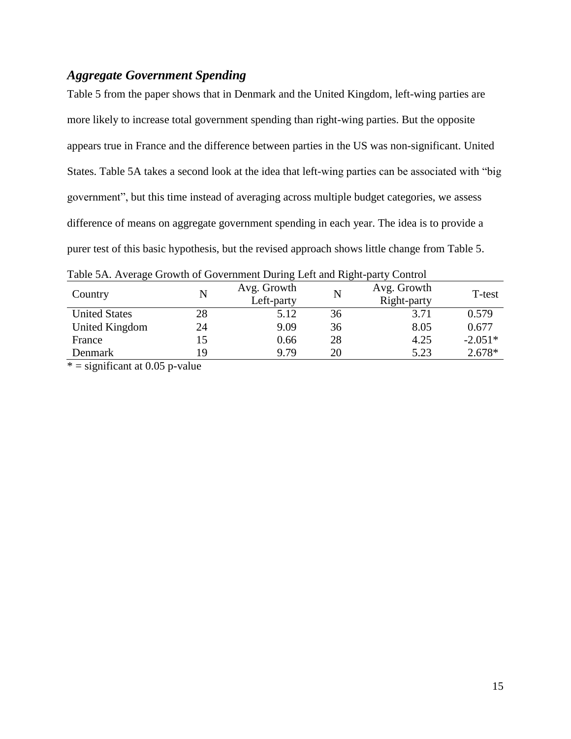### *Aggregate Government Spending*

Table 5 from the paper shows that in Denmark and the United Kingdom, left-wing parties are more likely to increase total government spending than right-wing parties. But the opposite appears true in France and the difference between parties in the US was non-significant. United States. Table 5A takes a second look at the idea that left-wing parties can be associated with "big government", but this time instead of averaging across multiple budget categories, we assess difference of means on aggregate government spending in each year. The idea is to provide a purer test of this basic hypothesis, but the revised approach shows little change from Table 5.

| Country              | N  | Avg. Growth<br>Left-party | N  | Avg. Growth<br>Right-party | T-test    |
|----------------------|----|---------------------------|----|----------------------------|-----------|
| <b>United States</b> | 28 | 5.12                      | 36 | 3.71                       | 0.579     |
| United Kingdom       | 24 | 9.09                      | 36 | 8.05                       | 0.677     |
| France               |    | 0.66                      | 28 | 4.25                       | $-2.051*$ |
| Denmark              | 19 | 9.79                      | 20 | 5.23                       | 2.678*    |

Table 5A. Average Growth of Government During Left and Right-party Control

 $* =$  significant at 0.05 p-value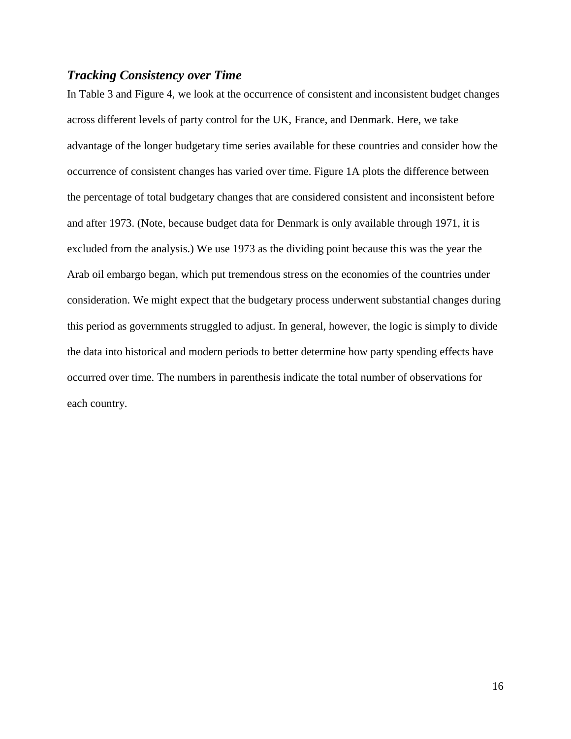#### *Tracking Consistency over Time*

In Table 3 and Figure 4, we look at the occurrence of consistent and inconsistent budget changes across different levels of party control for the UK, France, and Denmark. Here, we take advantage of the longer budgetary time series available for these countries and consider how the occurrence of consistent changes has varied over time. Figure 1A plots the difference between the percentage of total budgetary changes that are considered consistent and inconsistent before and after 1973. (Note, because budget data for Denmark is only available through 1971, it is excluded from the analysis.) We use 1973 as the dividing point because this was the year the Arab oil embargo began, which put tremendous stress on the economies of the countries under consideration. We might expect that the budgetary process underwent substantial changes during this period as governments struggled to adjust. In general, however, the logic is simply to divide the data into historical and modern periods to better determine how party spending effects have occurred over time. The numbers in parenthesis indicate the total number of observations for each country.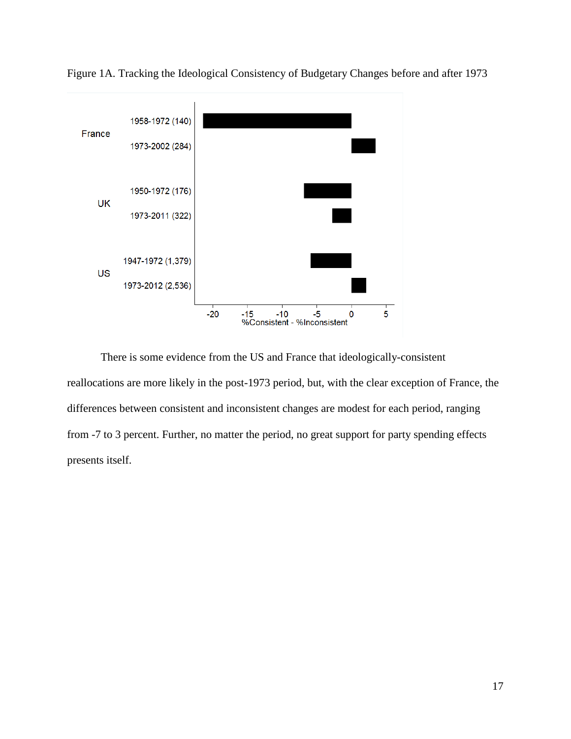

Figure 1A. Tracking the Ideological Consistency of Budgetary Changes before and after 1973

There is some evidence from the US and France that ideologically-consistent reallocations are more likely in the post-1973 period, but, with the clear exception of France, the differences between consistent and inconsistent changes are modest for each period, ranging from -7 to 3 percent. Further, no matter the period, no great support for party spending effects presents itself.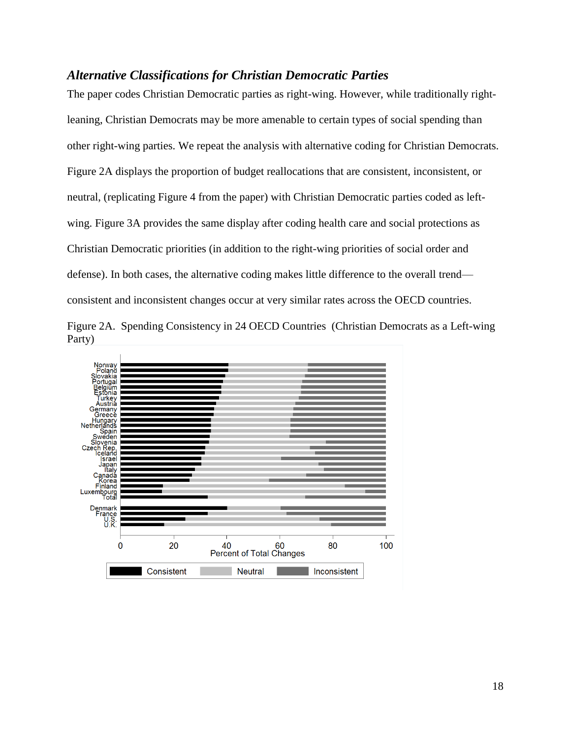### *Alternative Classifications for Christian Democratic Parties*

The paper codes Christian Democratic parties as right-wing. However, while traditionally rightleaning, Christian Democrats may be more amenable to certain types of social spending than other right-wing parties. We repeat the analysis with alternative coding for Christian Democrats. Figure 2A displays the proportion of budget reallocations that are consistent, inconsistent, or neutral, (replicating Figure 4 from the paper) with Christian Democratic parties coded as leftwing. Figure 3A provides the same display after coding health care and social protections as Christian Democratic priorities (in addition to the right-wing priorities of social order and defense). In both cases, the alternative coding makes little difference to the overall trend consistent and inconsistent changes occur at very similar rates across the OECD countries.



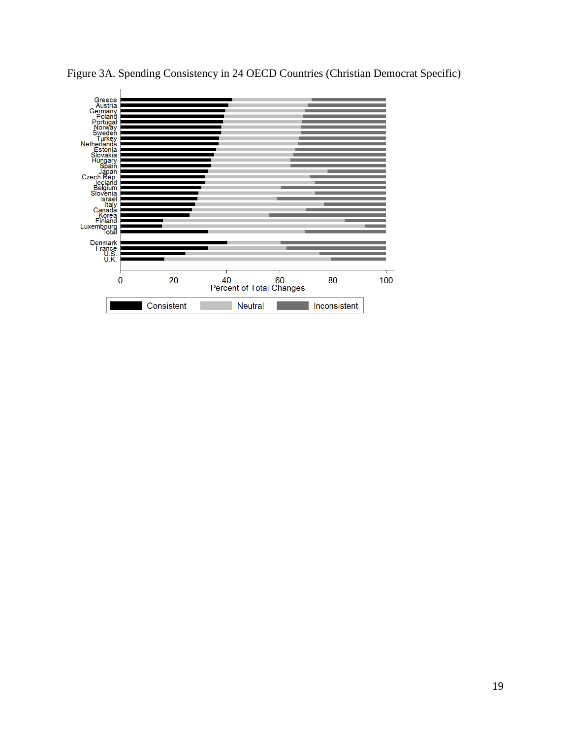

Figure 3A. Spending Consistency in 24 OECD Countries (Christian Democrat Specific)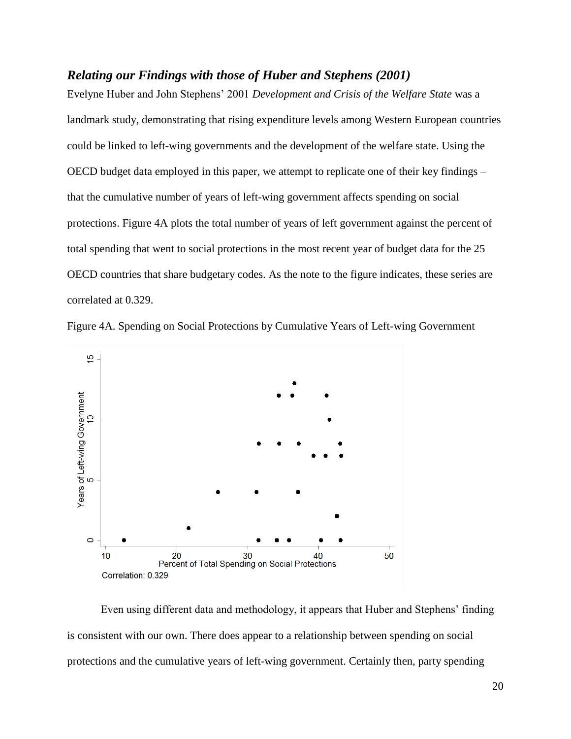#### *Relating our Findings with those of Huber and Stephens (2001)*

Evelyne Huber and John Stephens' 2001 *Development and Crisis of the Welfare State* was a landmark study, demonstrating that rising expenditure levels among Western European countries could be linked to left-wing governments and the development of the welfare state. Using the OECD budget data employed in this paper, we attempt to replicate one of their key findings – that the cumulative number of years of left-wing government affects spending on social protections. Figure 4A plots the total number of years of left government against the percent of total spending that went to social protections in the most recent year of budget data for the 25 OECD countries that share budgetary codes. As the note to the figure indicates, these series are correlated at 0.329.





Even using different data and methodology, it appears that Huber and Stephens' finding is consistent with our own. There does appear to a relationship between spending on social protections and the cumulative years of left-wing government. Certainly then, party spending